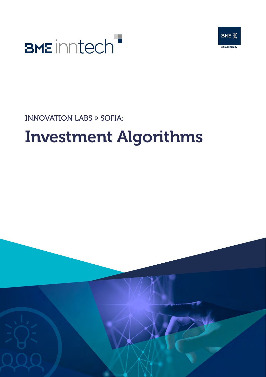



INNOVATION LABS » SOFIA:

## Investment Algorithms

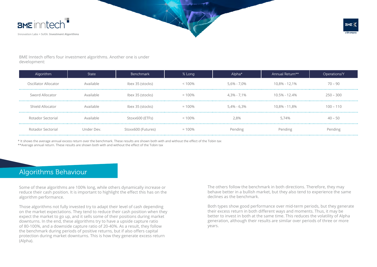



BME Inntech offers four investment algorithms. Another one is under development:

| Algorithm            | State      | <b>Benchmark</b>   | % Long    | Alpha*          | Annual Return**   | Operations/Y |
|----------------------|------------|--------------------|-----------|-----------------|-------------------|--------------|
| Oscillator Allocator | Available  | Ibex 35 (stocks)   | $< 100\%$ | $5,6\% - 7,0\%$ | 10,8% - 12,1%     | $70 - 90$    |
| Sword Allocator      | Available  | Ibex 35 (stocks)   | $= 100\%$ | $4.3\% - 7.1\%$ | $10.5\% - 12.4\%$ | $250 - 300$  |
| Shield Allocator     | Available  | Ibex 35 (stocks)   | $= 100\%$ | $5,4\% - 6,3\%$ | 10,8% - 11,8%     | $100 - 110$  |
| Rotador Sectorial    | Available  | Stoxx600 (ETFs)    | $< 100\%$ | 2,8%            | 5.74%             | $40 - 50$    |
| Rotador Sectorial    | Under Dev. | Stoxx600 (Futures) | $= 100\%$ | Pending         | Pending           | Pending      |

\* It shows the average annual excess return over the benchmark. These results are shown both with and without the effect of the Tobin tax

\*\*Average annual return. These results are shown both with and without the effect of the Tobin tax

### Algorithms Behaviour

Some of these algorithms are 100% long, while others dynamically increase or reduce their cash position. It is important to highlight the effect this has on the algorithm performance.

Those algorithms not fully invested try to adapt their level of cash depending on the market expectations. They tend to reduce their cash position when they expect the market to go up, and it sells some of their positions during market downturns. In the end, these algorithms try to have a upside capture ratio of 80-100%, and a downside capture ratio of 20-40%. As a result, they follow the benchmark during periods of positive returns, but if also offers capital protection during market downturns. This is how they generate excess return (Alpha).

The others follow the benchmark in both directions. Therefore, they may behave better in a bullish market, but they also tend to experience the same declines as the benchmark.

Both types show good performance over mid-term periods, but they generate their excess return in both different ways and moments. Thus, it may be better to invest in both at the same time. This reduces the volatility of Alpha generation, although their results are similar over periods of three or more years.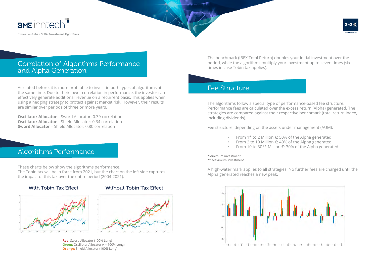

Innovation Labs » SofIA: Investment Algorithms



#### Correlation of Algorithms Performance and Alpha Generation

As stated before, it is more profitable to invest in both types of algorithms at the same time. Due to their lower correlation in performance, the investor can effectively generate additional revenue on a recurrent basis. This applies when using a hedging strategy to protect against market risk. However, their results are similar over periods of three or more years.

**Oscillator Allocator** – Sword Allocator: 0.39 correlation **Oscillator Allocator** – Shield Allocator: 0.34 correlation **Sword Allocator** – Shield Allocator: 0.80 correlation

#### Algorithms Performance

These charts below show the algorithms performance. The Tobin tax will be in force from 2021, but the chart on the left side captures the impact of this tax over the entire period (2004-2021).



#### With Tobin Tax Effect Without Tobin Tax Effect



**Red:** Sword Allocator (100% Long) **Green:** Oscillator Allocator (<= 100% Long) **Orange:** Shield Allocator (100% Long)

The benchmark (IBEX Total Return) doubles your initial investment over the period, while the algorithms multiply your investment up to seven times (six times in case Tobin tax applies).

#### Fee Structure

The algorithms follow a special type of performance-based fee structure. Performance fees are calculated over the excess return (Alpha) generated. The strategies are compared against their respective benchmark (total return index, including dividends).

Fee structure, depending on the assets under management (AUM):

- From 1\* to 2 Million €: 50% of the Alpha generated
- From 2 to 10 Million  $\epsilon$ : 40% of the Alpha generated
- From 10 to 30\*\* Million €: 30% of the Alpha generated

\*Minimum investment. \*\* Maximum investment.

A high-water mark applies to all strategies. No further fees are charged until the Alpha generated reaches a new peak.

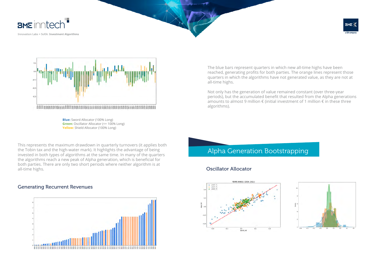





**Blue:** Sword Allocator (100% Long) **Green:** Oscillator Allocator (<= 100% Long) **Yellow:** Shield Allocator (100% Long)

This represents the maximum drawdown in quarterly turnovers (it applies both the Tobin tax and the high-water mark). It highlights the advantage of being invested in both types of algorithms at the same time. In many of the quarters the algorithms reach a new peak of Alpha generation, which is beneficial for both parties. There are only two short periods where neither algorithm is at all-time highs.

#### Generating Recurrent Revenues



The blue bars represent quarters in which new all-time highs have been reached, generating profits for both parties. The orange lines represent those quarters in which the algorithms have not generated value, as they are not at all-time highs.

Not only has the generation of value remained constant (over three-year periods), but the accumulated benefit that resulted from the Alpha generations amounts to almost 9 million  $\epsilon$  (initial investment of 1 million  $\epsilon$  in these three algorithms).

#### Alpha Generation Bootstrapping

#### Oscillator Allocator



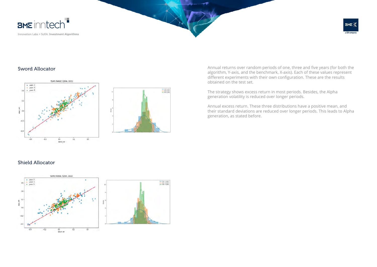

#### Sword Allocator





Annual returns over random periods of one, three and five years (for both the algorithm, Y-axis, and the benchmark, X-axis). Each of these values represent different experiments with their own configuration. These are the results obtained on the test set.

The strategy shows excess return in most periods. Besides, the Alpha generation volatility is reduced over longer periods.

Annual excess return. These three distributions have a positive mean, and their standard deviations are reduced over longer periods. This leads to Alpha generation, as stated before.

#### Shield Allocator